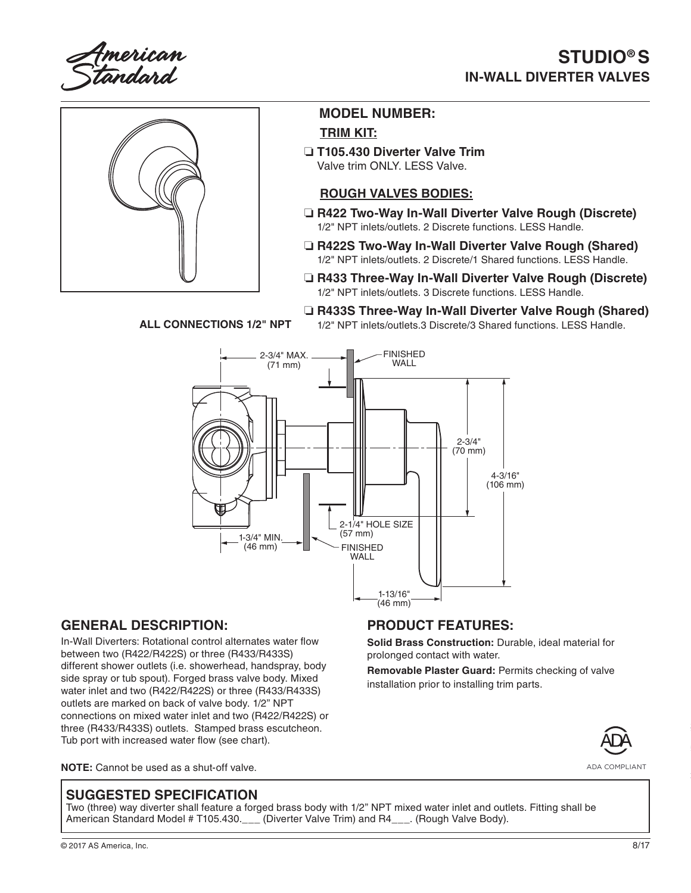American<br>Standard

# **STUDIO® S IN-WALL DIVERTER VALVES**



### **MODEL NUMBER: TRIM KIT:**

❏ **T105.430 Diverter Valve Trim** Valve trim ONLY. LESS Valve.

### **ROUGH VALVES BODIES:**

- ❏ **R422 Two-Way In-Wall Diverter Valve Rough (Discrete)**  1/2" NPT inlets/outlets. 2 Discrete functions. LESS Handle.
- ❏ **R422S Two-Way In-Wall Diverter Valve Rough (Shared)** 1/2" NPT inlets/outlets. 2 Discrete/1 Shared functions. LESS Handle.
- ❏ **R433 Three-Way In-Wall Diverter Valve Rough (Discrete)** 1/2" NPT inlets/outlets. 3 Discrete functions. LESS Handle.

❏ **R433S Three-Way In-Wall Diverter Valve Rough (Shared)**

**ALL CONNECTIONS 1/2" NPT**

1/2" NPT inlets/outlets.3 Discrete/3 Shared functions. LESS Handle.



## **GENERAL DESCRIPTION:**

In-Wall Diverters: Rotational control alternates water flow between two (R422/R422S) or three (R433/R433S) different shower outlets (i.e. showerhead, handspray, body side spray or tub spout). Forged brass valve body. Mixed water inlet and two (R422/R422S) or three (R433/R433S) outlets are marked on back of valve body. 1/2" NPT connections on mixed water inlet and two (R422/R422S) or three (R433/R433S) outlets. Stamped brass escutcheon. Tub port with increased water flow (see chart).

#### **NOTE:** Cannot be used as a shut-off valve.

## **PRODUCT FEATURES:**

**Solid Brass Construction:** Durable, ideal material for prolonged contact with water.

**Removable Plaster Guard:** Permits checking of valve installation prior to installing trim parts.



ADA COMPLIANT

### **SUGGESTED SPECIFICATION**

Two (three) way diverter shall feature a forged brass body with 1/2" NPT mixed water inlet and outlets. Fitting shall be American Standard Model # T105.430. (Diverter Valve Trim) and R4 [Rough Valve Body).